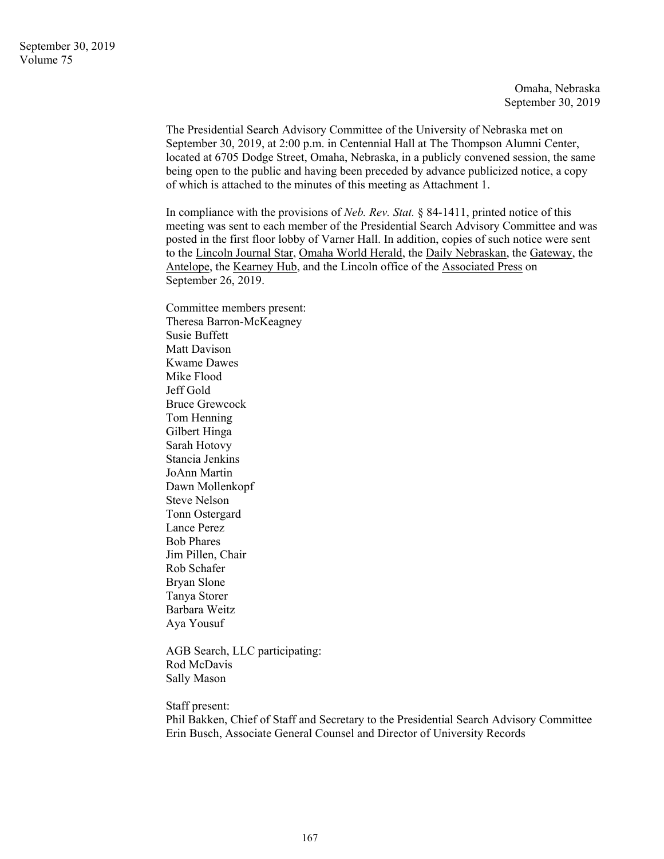Omaha, Nebraska September 30, 2019

The Presidential Search Advisory Committee of the University of Nebraska met on September 30, 2019, at 2:00 p.m. in Centennial Hall at The Thompson Alumni Center, located at 6705 Dodge Street, Omaha, Nebraska, in a publicly convened session, the same being open to the public and having been preceded by advance publicized notice, a copy of which is attached to the minutes of this meeting as Attachment 1.

In compliance with the provisions of *Neb. Rev. Stat.* § 84-1411, printed notice of this meeting was sent to each member of the Presidential Search Advisory Committee and was posted in the first floor lobby of Varner Hall. In addition, copies of such notice were sent to the Lincoln Journal Star, Omaha World Herald, the Daily Nebraskan, the Gateway, the Antelope, the Kearney Hub, and the Lincoln office of the Associated Press on September 26, 2019.

Committee members present: Theresa Barron-McKeagney Susie Buffett Matt Davison Kwame Dawes Mike Flood Jeff Gold Bruce Grewcock Tom Henning Gilbert Hinga Sarah Hotovy Stancia Jenkins JoAnn Martin Dawn Mollenkopf Steve Nelson Tonn Ostergard Lance Perez Bob Phares Jim Pillen, Chair Rob Schafer Bryan Slone Tanya Storer Barbara Weitz Aya Yousuf

AGB Search, LLC participating: Rod McDavis Sally Mason

Staff present:

Phil Bakken, Chief of Staff and Secretary to the Presidential Search Advisory Committee Erin Busch, Associate General Counsel and Director of University Records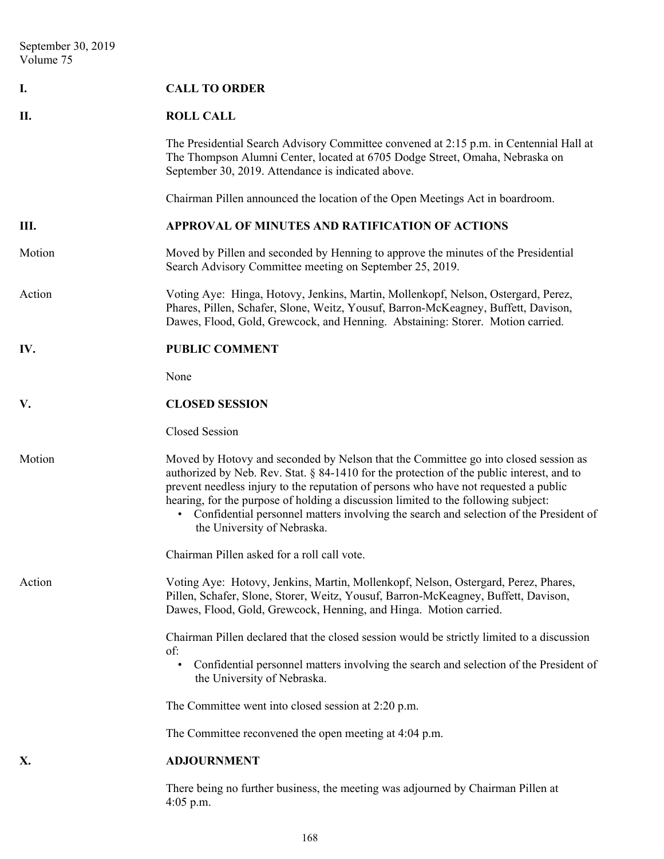| I.     | <b>CALL TO ORDER</b>                                                                                                                                                                                                                                                                                                                                                                                                                                                                   |
|--------|----------------------------------------------------------------------------------------------------------------------------------------------------------------------------------------------------------------------------------------------------------------------------------------------------------------------------------------------------------------------------------------------------------------------------------------------------------------------------------------|
| П.     | <b>ROLL CALL</b>                                                                                                                                                                                                                                                                                                                                                                                                                                                                       |
|        | The Presidential Search Advisory Committee convened at 2:15 p.m. in Centennial Hall at<br>The Thompson Alumni Center, located at 6705 Dodge Street, Omaha, Nebraska on<br>September 30, 2019. Attendance is indicated above.                                                                                                                                                                                                                                                           |
|        | Chairman Pillen announced the location of the Open Meetings Act in boardroom.                                                                                                                                                                                                                                                                                                                                                                                                          |
| Ш.     | APPROVAL OF MINUTES AND RATIFICATION OF ACTIONS                                                                                                                                                                                                                                                                                                                                                                                                                                        |
| Motion | Moved by Pillen and seconded by Henning to approve the minutes of the Presidential<br>Search Advisory Committee meeting on September 25, 2019.                                                                                                                                                                                                                                                                                                                                         |
| Action | Voting Aye: Hinga, Hotovy, Jenkins, Martin, Mollenkopf, Nelson, Ostergard, Perez,<br>Phares, Pillen, Schafer, Slone, Weitz, Yousuf, Barron-McKeagney, Buffett, Davison,<br>Dawes, Flood, Gold, Grewcock, and Henning. Abstaining: Storer. Motion carried.                                                                                                                                                                                                                              |
| IV.    | <b>PUBLIC COMMENT</b>                                                                                                                                                                                                                                                                                                                                                                                                                                                                  |
|        | None                                                                                                                                                                                                                                                                                                                                                                                                                                                                                   |
| V.     | <b>CLOSED SESSION</b>                                                                                                                                                                                                                                                                                                                                                                                                                                                                  |
|        | Closed Session                                                                                                                                                                                                                                                                                                                                                                                                                                                                         |
| Motion | Moved by Hotovy and seconded by Nelson that the Committee go into closed session as<br>authorized by Neb. Rev. Stat. § 84-1410 for the protection of the public interest, and to<br>prevent needless injury to the reputation of persons who have not requested a public<br>hearing, for the purpose of holding a discussion limited to the following subject:<br>Confidential personnel matters involving the search and selection of the President of<br>the University of Nebraska. |
|        | Chairman Pillen asked for a roll call vote.                                                                                                                                                                                                                                                                                                                                                                                                                                            |
| Action | Voting Aye: Hotovy, Jenkins, Martin, Mollenkopf, Nelson, Ostergard, Perez, Phares,<br>Pillen, Schafer, Slone, Storer, Weitz, Yousuf, Barron-McKeagney, Buffett, Davison,<br>Dawes, Flood, Gold, Grewcock, Henning, and Hinga. Motion carried.                                                                                                                                                                                                                                          |
|        | Chairman Pillen declared that the closed session would be strictly limited to a discussion<br>of:                                                                                                                                                                                                                                                                                                                                                                                      |
|        | Confidential personnel matters involving the search and selection of the President of<br>the University of Nebraska.                                                                                                                                                                                                                                                                                                                                                                   |
|        | The Committee went into closed session at 2:20 p.m.                                                                                                                                                                                                                                                                                                                                                                                                                                    |
|        | The Committee reconvened the open meeting at 4:04 p.m.                                                                                                                                                                                                                                                                                                                                                                                                                                 |
| X.     | <b>ADJOURNMENT</b>                                                                                                                                                                                                                                                                                                                                                                                                                                                                     |
|        | There being no further business, the meeting was adjourned by Chairman Pillen at<br>$4:05$ p.m.                                                                                                                                                                                                                                                                                                                                                                                        |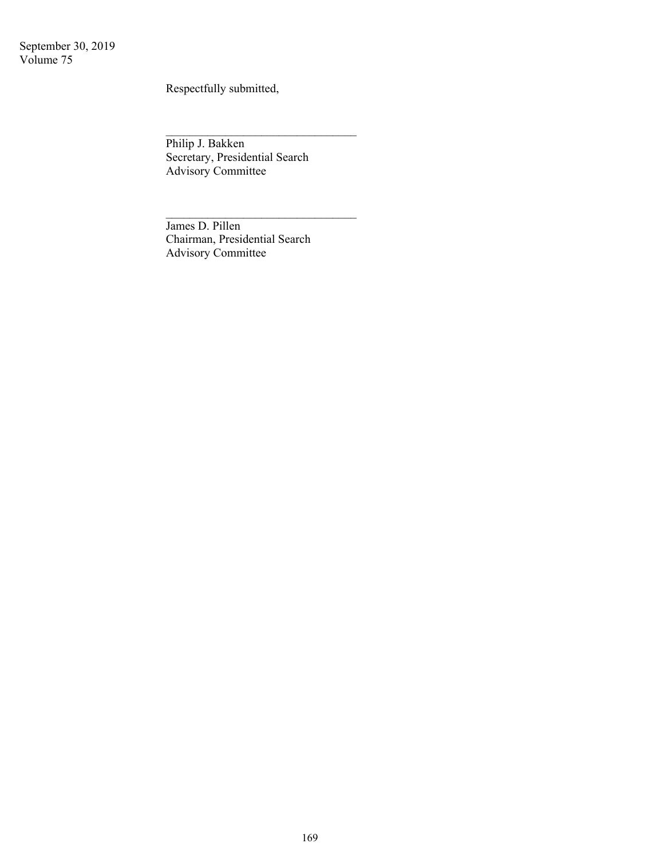September 30, 2019 Volume 75

Respectfully submitted,

Philip J. Bakken Secretary, Presidential Search Advisory Committee

 $\mathcal{L}_\text{max}$  , where  $\mathcal{L}_\text{max}$  , we have the set of  $\mathcal{L}_\text{max}$ 

 $\mathcal{L}_\text{max}$ 

James D. Pillen Chairman, Presidential Search Advisory Committee